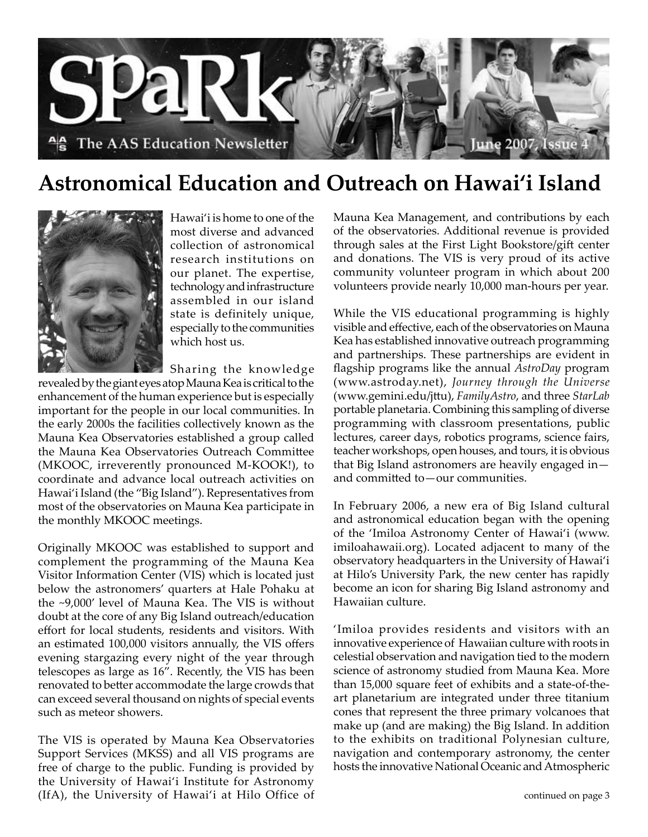

### **Astronomical Education and Outreach on Hawai'i Island**



Hawai'i is home to one of the most diverse and advanced collection of astronomical research institutions on our planet. The expertise, technology and infrastructure assembled in our island state is definitely unique, especially to the communities which host us.

Sharing the knowledge

revealed by the giant eyes atop Mauna Kea is critical to the enhancement of the human experience but is especially important for the people in our local communities. In the early 2000s the facilities collectively known as the Mauna Kea Observatories established a group called the Mauna Kea Observatories Outreach Committee (MKOOC, irreverently pronounced M-KOOK!), to coordinate and advance local outreach activities on Hawai'i Island (the "Big Island"). Representatives from most of the observatories on Mauna Kea participate in the monthly MKOOC meetings.

Originally MKOOC was established to support and complement the programming of the Mauna Kea Visitor Information Center (VIS) which is located just below the astronomers' quarters at Hale Pohaku at the ~9,000' level of Mauna Kea. The VIS is without doubt at the core of any Big Island outreach/education effort for local students, residents and visitors. With an estimated 100,000 visitors annually, the VIS offers evening stargazing every night of the year through telescopes as large as 16". Recently, the VIS has been renovated to better accommodate the large crowds that can exceed several thousand on nights of special events such as meteor showers.

The VIS is operated by Mauna Kea Observatories Support Services (MKSS) and all VIS programs are free of charge to the public. Funding is provided by the University of Hawai'i Institute for Astronomy (IfA), the University of Hawai'i at Hilo Office of Mauna Kea Management, and contributions by each of the observatories. Additional revenue is provided through sales at the First Light Bookstore/gift center and donations. The VIS is very proud of its active community volunteer program in which about 200 volunteers provide nearly 10,000 man-hours per year.

While the VIS educational programming is highly visible and effective, each of the observatories on Mauna Kea has established innovative outreach programming and partnerships. These partnerships are evident in flagship programs like the annual *AstroDay* program (www.astroday.net), *Journey through the Universe* (www.gemini.edu/jttu), *FamilyAstro*, and three *StarLab* portable planetaria. Combining this sampling of diverse programming with classroom presentations, public lectures, career days, robotics programs, science fairs, teacher workshops, open houses, and tours, it is obvious that Big Island astronomers are heavily engaged in and committed to—our communities.

In February 2006, a new era of Big Island cultural and astronomical education began with the opening of the 'Imiloa Astronomy Center of Hawai'i (www. imiloahawaii.org). Located adjacent to many of the observatory headquarters in the University of Hawai'i at Hilo's University Park, the new center has rapidly become an icon for sharing Big Island astronomy and Hawaiian culture.

'Imiloa provides residents and visitors with an innovative experience of Hawaiian culture with roots in celestial observation and navigation tied to the modern science of astronomy studied from Mauna Kea. More than 15,000 square feet of exhibits and a state-of-theart planetarium are integrated under three titanium cones that represent the three primary volcanoes that make up (and are making) the Big Island. In addition to the exhibits on traditional Polynesian culture, navigation and contemporary astronomy, the center hosts the innovative National Oceanic and Atmospheric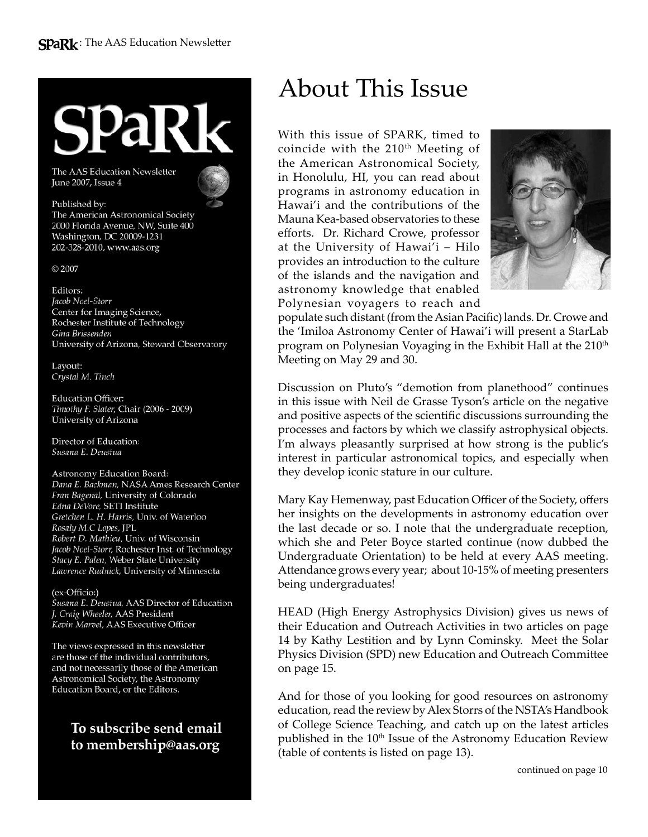The AAS Education Newsletter June 2007, Issue 4

#### Published by:

The American Astronomical Society 2000 Florida Avenue, NW, Suite 400 Washington, DC 20009-1231 202-328-2010, www.aas.org

C 2007

Editors: Jacob Noel-Storr Center for Imaging Science, Rochester Institute of Technology Gina Brissenden University of Arizona, Steward Observatory

Layout: Crystal M. Tinch

**Education Officer:** Timothy F. Slater, Chair (2006 - 2009) University of Arizona

Director of Education: Susana E. Deustua

Astronomy Education Board: Dana E. Backman, NASA Ames Research Center Fran Bagenal, University of Colorado Edna DeVore, SETI Institute Gretchen L. H. Harris, Univ. of Waterloo Rosaly M.C Lopes, JPL Robert D. Mathieu, Univ. of Wisconsin Jacob Noel-Storr, Rochester Inst. of Technology Stacy E. Palen, Weber State University Lawrence Rudnick, University of Minnesota

(ex-Officio:) Susana E. Deustua, AAS Director of Education J. Craig Wheeler, AAS President Kevin Marvel, AAS Executive Officer

The views expressed in this newsletter are those of the individual contributors, and not necessarily those of the American Astronomical Society, the Astronomy Education Board, or the Editors.

> To subscribe send email to membership@aas.org

### About This Issue

With this issue of SPARK, timed to coincide with the  $210<sup>th</sup>$  Meeting of the American Astronomical Society, in Honolulu, HI, you can read about programs in astronomy education in Hawai'i and the contributions of the Mauna Kea-based observatories to these efforts. Dr. Richard Crowe, professor at the University of Hawai'i – Hilo provides an introduction to the culture of the islands and the navigation and astronomy knowledge that enabled Polynesian voyagers to reach and



populate such distant (from the Asian Pacific) lands. Dr. Crowe and the 'Imiloa Astronomy Center of Hawai'i will present a StarLab program on Polynesian Voyaging in the Exhibit Hall at the 210<sup>th</sup> Meeting on May 29 and 30.

Discussion on Pluto's "demotion from planethood" continues in this issue with Neil de Grasse Tyson's article on the negative and positive aspects of the scientific discussions surrounding the processes and factors by which we classify astrophysical objects. I'm always pleasantly surprised at how strong is the public's interest in particular astronomical topics, and especially when they develop iconic stature in our culture.

Mary Kay Hemenway, past Education Officer of the Society, offers her insights on the developments in astronomy education over the last decade or so. I note that the undergraduate reception, which she and Peter Boyce started continue (now dubbed the Undergraduate Orientation) to be held at every AAS meeting. Attendance grows every year; about 10-15% of meeting presenters being undergraduates!

HEAD (High Energy Astrophysics Division) gives us news of their Education and Outreach Activities in two articles on page 14 by Kathy Lestition and by Lynn Cominsky. Meet the Solar Physics Division (SPD) new Education and Outreach Committee on page 15.

And for those of you looking for good resources on astronomy education, read the review by Alex Storrs of the NSTA's Handbook of College Science Teaching, and catch up on the latest articles published in the 10<sup>th</sup> Issue of the Astronomy Education Review (table of contents is listed on page 13).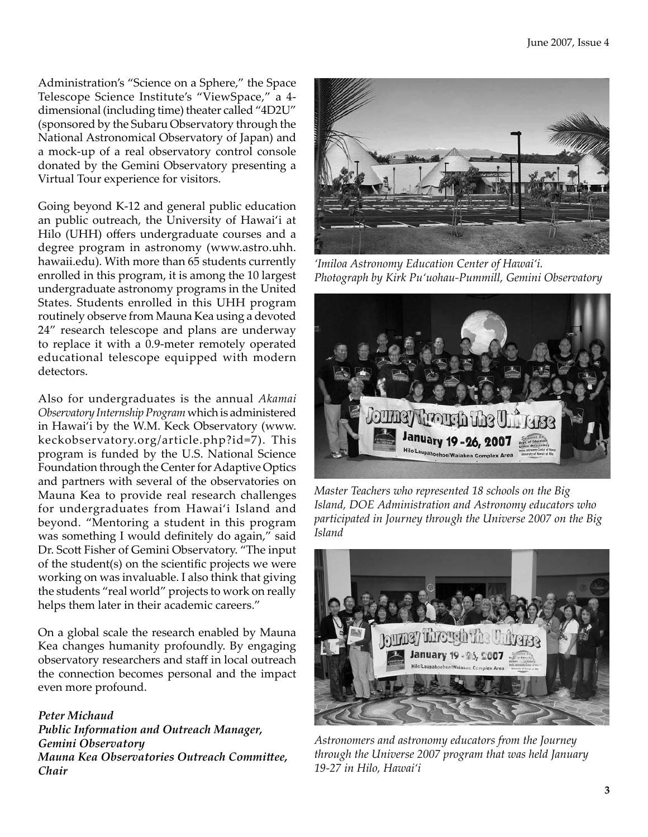Administration's "Science on a Sphere," the Space Telescope Science Institute's "ViewSpace," a 4 dimensional (including time) theater called "4D2U" (sponsored by the Subaru Observatory through the National Astronomical Observatory of Japan) and a mock-up of a real observatory control console donated by the Gemini Observatory presenting a Virtual Tour experience for visitors.

Going beyond K-12 and general public education an public outreach, the University of Hawai'i at Hilo (UHH) offers undergraduate courses and a degree program in astronomy (www.astro.uhh. hawaii.edu). With more than 65 students currently enrolled in this program, it is among the 10 largest undergraduate astronomy programs in the United States. Students enrolled in this UHH program routinely observe from Mauna Kea using a devoted 24" research telescope and plans are underway to replace it with a 0.9-meter remotely operated educational telescope equipped with modern detectors.

Also for undergraduates is the annual *Akamai Observatory Internship Program* which is administered in Hawai'i by the W.M. Keck Observatory (www. keckobservatory.org/article.php?id=7). This program is funded by the U.S. National Science Foundation through the Center for Adaptive Optics and partners with several of the observatories on Mauna Kea to provide real research challenges for undergraduates from Hawai'i Island and beyond. "Mentoring a student in this program was something I would definitely do again," said Dr. Scott Fisher of Gemini Observatory. "The input of the student(s) on the scientific projects we were working on was invaluable. I also think that giving the students "real world" projects to work on really helps them later in their academic careers."

On a global scale the research enabled by Mauna Kea changes humanity profoundly. By engaging observatory researchers and staff in local outreach the connection becomes personal and the impact even more profound.

*Peter Michaud Public Information and Outreach Manager, Gemini Observatory Mauna Kea Observatories Outreach Committee, Chair* 



*'Imiloa Astronomy Education Center of Hawai'i. Photograph by Kirk Pu'uohau-Pummill, Gemini Observatory*



*Master Teachers who represented 18 schools on the Big Island, DOE Administration and Astronomy educators who participated in Journey through the Universe 2007 on the Big Island*



*Astronomers and astronomy educators from the Journey through the Universe 2007 program that was held January 19-27 in Hilo, Hawai'i*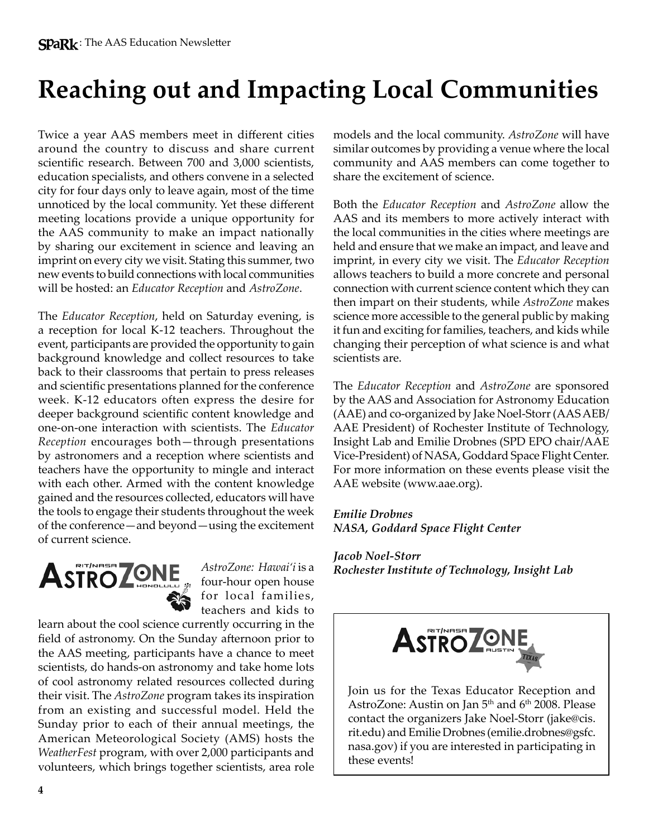# **Reaching out and Impacting Local Communities**

Twice a year AAS members meet in different cities around the country to discuss and share current scientific research. Between 700 and 3,000 scientists, education specialists, and others convene in a selected city for four days only to leave again, most of the time unnoticed by the local community. Yet these different meeting locations provide a unique opportunity for the AAS community to make an impact nationally by sharing our excitement in science and leaving an imprint on every city we visit. Stating this summer, two new events to build connections with local communities will be hosted: an *Educator Reception* and *AstroZone*.

The *Educator Reception*, held on Saturday evening, is a reception for local K-12 teachers. Throughout the event, participants are provided the opportunity to gain background knowledge and collect resources to take back to their classrooms that pertain to press releases and scientific presentations planned for the conference week. K-12 educators often express the desire for deeper background scientific content knowledge and one-on-one interaction with scientists. The *Educator Reception* encourages both—through presentations by astronomers and a reception where scientists and teachers have the opportunity to mingle and interact with each other. Armed with the content knowledge gained and the resources collected, educators will have the tools to engage their students throughout the week of the conference—and beyond—using the excitement of current science.



*AstroZone: Hawai'i* is a four-hour open house for local families, teachers and kids to

learn about the cool science currently occurring in the field of astronomy. On the Sunday afternoon prior to the AAS meeting, participants have a chance to meet scientists, do hands-on astronomy and take home lots of cool astronomy related resources collected during their visit. The *AstroZone* program takes its inspiration from an existing and successful model. Held the Sunday prior to each of their annual meetings, the American Meteorological Society (AMS) hosts the *WeatherFest* program, with over 2,000 participants and volunteers, which brings together scientists, area role

models and the local community. *AstroZone* will have similar outcomes by providing a venue where the local community and AAS members can come together to share the excitement of science.

Both the *Educator Reception* and *AstroZone* allow the AAS and its members to more actively interact with the local communities in the cities where meetings are held and ensure that we make an impact, and leave and imprint, in every city we visit. The *Educator Reception* allows teachers to build a more concrete and personal connection with current science content which they can then impart on their students, while *AstroZone* makes science more accessible to the general public by making it fun and exciting for families, teachers, and kids while changing their perception of what science is and what scientists are.

The *Educator Reception* and *AstroZone* are sponsored by the AAS and Association for Astronomy Education (AAE) and co-organized by Jake Noel-Storr (AAS AEB/ AAE President) of Rochester Institute of Technology, Insight Lab and Emilie Drobnes (SPD EPO chair/AAE Vice-President) of NASA, Goddard Space Flight Center. For more information on these events please visit the AAE website (www.aae.org).

*Emilie Drobnes NASA, Goddard Space Flight Center*

#### *Jacob Noel-Storr Rochester Institute of Technology, Insight Lab*



Join us for the Texas Educator Reception and AstroZone: Austin on Jan 5<sup>th</sup> and 6<sup>th</sup> 2008. Please contact the organizers Jake Noel-Storr (jake@cis. rit.edu) and Emilie Drobnes (emilie.drobnes@gsfc. nasa.gov) if you are interested in participating in these events!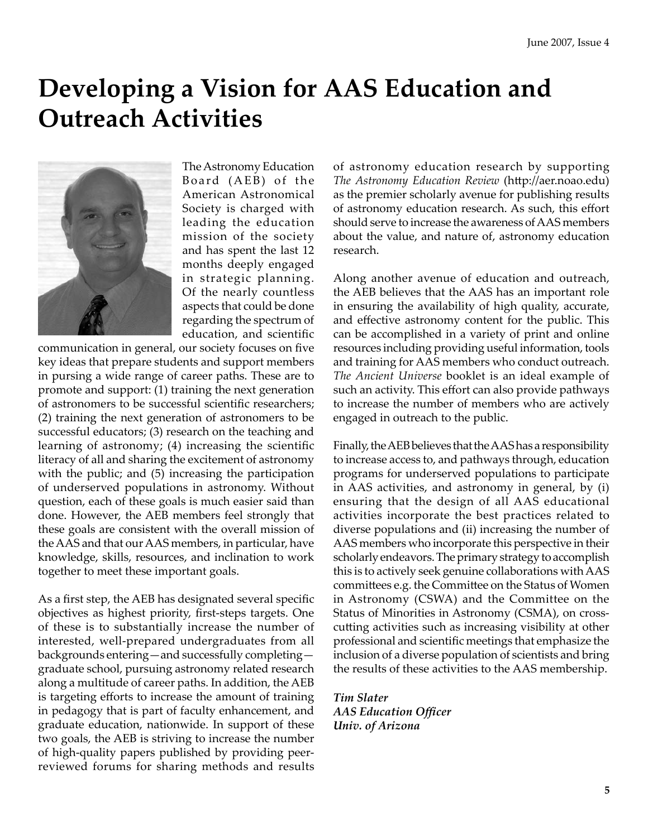### **Developing a Vision for AAS Education and Outreach Activities**



The Astronomy Education Board (AEB) of the American Astronomical Society is charged with leading the education mission of the society and has spent the last 12 months deeply engaged in strategic planning. Of the nearly countless aspects that could be done regarding the spectrum of education, and scientific

communication in general, our society focuses on five key ideas that prepare students and support members in pursing a wide range of career paths. These are to promote and support: (1) training the next generation of astronomers to be successful scientific researchers; (2) training the next generation of astronomers to be successful educators; (3) research on the teaching and learning of astronomy; (4) increasing the scientific literacy of all and sharing the excitement of astronomy with the public; and (5) increasing the participation of underserved populations in astronomy. Without question, each of these goals is much easier said than done. However, the AEB members feel strongly that these goals are consistent with the overall mission of the AAS and that our AAS members, in particular, have knowledge, skills, resources, and inclination to work together to meet these important goals.

As a first step, the AEB has designated several specific objectives as highest priority, first-steps targets. One of these is to substantially increase the number of interested, well-prepared undergraduates from all backgrounds entering—and successfully completing graduate school, pursuing astronomy related research along a multitude of career paths. In addition, the AEB is targeting efforts to increase the amount of training in pedagogy that is part of faculty enhancement, and graduate education, nationwide. In support of these two goals, the AEB is striving to increase the number of high-quality papers published by providing peerreviewed forums for sharing methods and results

of astronomy education research by supporting *The Astronomy Education Review* (http://aer.noao.edu) as the premier scholarly avenue for publishing results of astronomy education research. As such, this effort should serve to increase the awareness of AAS members about the value, and nature of, astronomy education research.

Along another avenue of education and outreach, the AEB believes that the AAS has an important role in ensuring the availability of high quality, accurate, and effective astronomy content for the public. This can be accomplished in a variety of print and online resources including providing useful information, tools and training for AAS members who conduct outreach. *The Ancient Universe* booklet is an ideal example of such an activity. This effort can also provide pathways to increase the number of members who are actively engaged in outreach to the public.

Finally, the AEB believes that the AAS has a responsibility to increase access to, and pathways through, education programs for underserved populations to participate in AAS activities, and astronomy in general, by (i) ensuring that the design of all AAS educational activities incorporate the best practices related to diverse populations and (ii) increasing the number of AAS members who incorporate this perspective in their scholarly endeavors. The primary strategy to accomplish this is to actively seek genuine collaborations with AAS committees e.g. the Committee on the Status of Women in Astronomy (CSWA) and the Committee on the Status of Minorities in Astronomy (CSMA), on crosscutting activities such as increasing visibility at other professional and scientific meetings that emphasize the inclusion of a diverse population of scientists and bring the results of these activities to the AAS membership.

*Tim Slater AAS Education Officer Univ. of Arizona*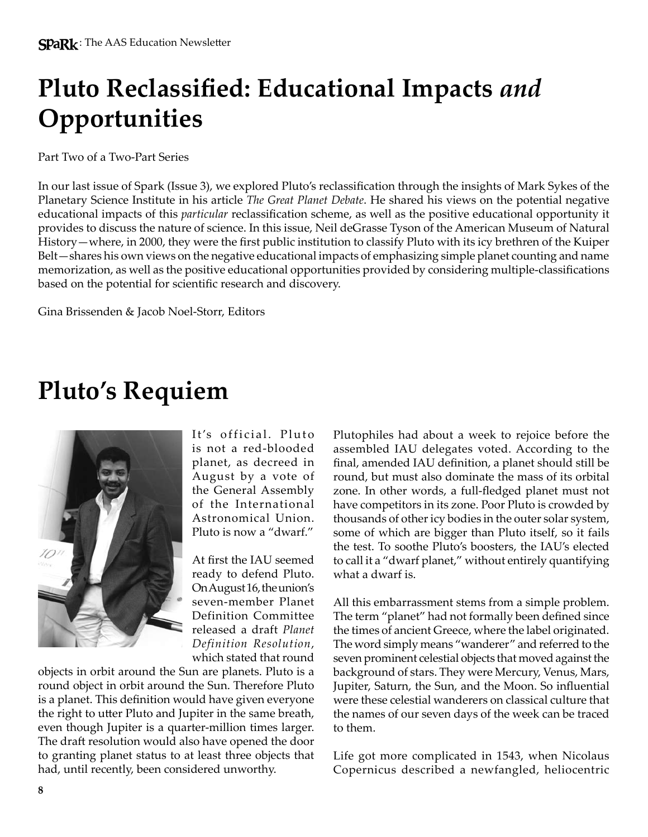# **Pluto Reclassified: Educational Impacts** *and* **Opportunities**

Part Two of a Two-Part Series

In our last issue of Spark (Issue 3), we explored Pluto's reclassification through the insights of Mark Sykes of the Planetary Science Institute in his article *The Great Planet Debate*. He shared his views on the potential negative educational impacts of this *particular* reclassification scheme, as well as the positive educational opportunity it provides to discuss the nature of science. In this issue, Neil deGrasse Tyson of the American Museum of Natural History—where, in 2000, they were the first public institution to classify Pluto with its icy brethren of the Kuiper Belt—shares his own views on the negative educational impacts of emphasizing simple planet counting and name memorization, as well as the positive educational opportunities provided by considering multiple-classifications based on the potential for scientific research and discovery.

Gina Brissenden & Jacob Noel-Storr, Editors

# **Pluto's Requiem**



It's official. Pluto is not a red-blooded planet, as decreed in August by a vote of the General Assembly of the International Astronomical Union. Pluto is now a "dwarf."

At first the IAU seemed ready to defend Pluto. On August 16, the union's seven-member Planet Definition Committee released a draft *Planet Definition Resolution*, which stated that round

objects in orbit around the Sun are planets. Pluto is a round object in orbit around the Sun. Therefore Pluto is a planet. This definition would have given everyone the right to utter Pluto and Jupiter in the same breath, even though Jupiter is a quarter-million times larger. The draft resolution would also have opened the door to granting planet status to at least three objects that had, until recently, been considered unworthy.

Plutophiles had about a week to rejoice before the assembled IAU delegates voted. According to the final, amended IAU definition, a planet should still be round, but must also dominate the mass of its orbital zone. In other words, a full-fledged planet must not have competitors in its zone. Poor Pluto is crowded by thousands of other icy bodies in the outer solar system, some of which are bigger than Pluto itself, so it fails the test. To soothe Pluto's boosters, the IAU's elected to call it a "dwarf planet," without entirely quantifying what a dwarf is.

All this embarrassment stems from a simple problem. The term "planet" had not formally been defined since the times of ancient Greece, where the label originated. The word simply means "wanderer" and referred to the seven prominent celestial objects that moved against the background of stars. They were Mercury, Venus, Mars, Jupiter, Saturn, the Sun, and the Moon. So influential were these celestial wanderers on classical culture that the names of our seven days of the week can be traced to them.

Life got more complicated in 1543, when Nicolaus Copernicus described a newfangled, heliocentric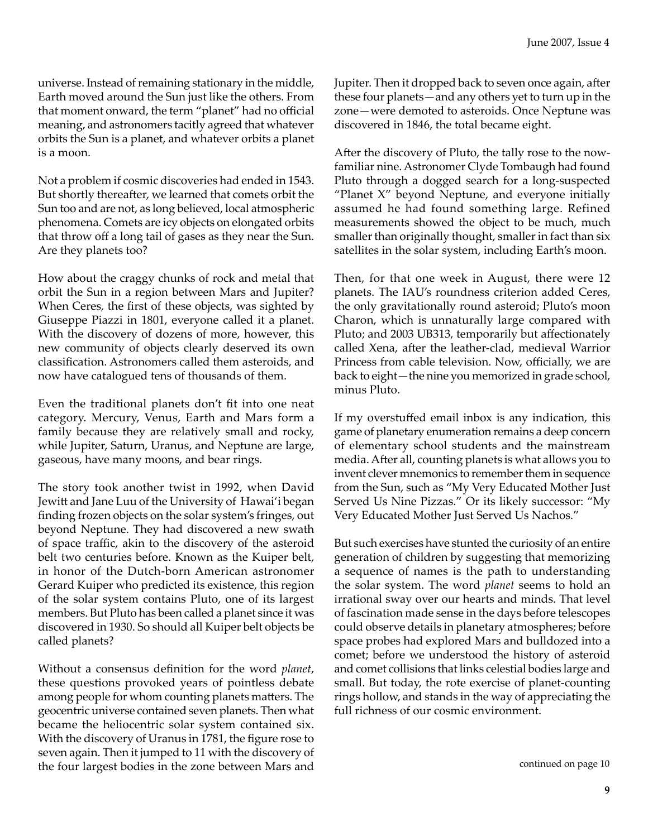universe. Instead of remaining stationary in the middle, Earth moved around the Sun just like the others. From that moment onward, the term "planet" had no official meaning, and astronomers tacitly agreed that whatever orbits the Sun is a planet, and whatever orbits a planet is a moon.

Not a problem if cosmic discoveries had ended in 1543. But shortly thereafter, we learned that comets orbit the Sun too and are not, as long believed, local atmospheric phenomena. Comets are icy objects on elongated orbits that throw off a long tail of gases as they near the Sun. Are they planets too?

How about the craggy chunks of rock and metal that orbit the Sun in a region between Mars and Jupiter? When Ceres, the first of these objects, was sighted by Giuseppe Piazzi in 1801, everyone called it a planet. With the discovery of dozens of more, however, this new community of objects clearly deserved its own classification. Astronomers called them asteroids, and now have catalogued tens of thousands of them.

Even the traditional planets don't fit into one neat category. Mercury, Venus, Earth and Mars form a family because they are relatively small and rocky, while Jupiter, Saturn, Uranus, and Neptune are large, gaseous, have many moons, and bear rings.

The story took another twist in 1992, when David Jewitt and Jane Luu of the University of Hawai'i began finding frozen objects on the solar system's fringes, out beyond Neptune. They had discovered a new swath of space traffic, akin to the discovery of the asteroid belt two centuries before. Known as the Kuiper belt, in honor of the Dutch-born American astronomer Gerard Kuiper who predicted its existence, this region of the solar system contains Pluto, one of its largest members. But Pluto has been called a planet since it was discovered in 1930. So should all Kuiper belt objects be called planets?

Without a consensus definition for the word *planet*, these questions provoked years of pointless debate among people for whom counting planets matters. The geocentric universe contained seven planets. Then what became the heliocentric solar system contained six. With the discovery of Uranus in 1781, the figure rose to seven again. Then it jumped to 11 with the discovery of the four largest bodies in the zone between Mars and

Jupiter. Then it dropped back to seven once again, after these four planets—and any others yet to turn up in the zone—were demoted to asteroids. Once Neptune was discovered in 1846, the total became eight.

After the discovery of Pluto, the tally rose to the nowfamiliar nine. Astronomer Clyde Tombaugh had found Pluto through a dogged search for a long-suspected "Planet X" beyond Neptune, and everyone initially assumed he had found something large. Refined measurements showed the object to be much, much smaller than originally thought, smaller in fact than six satellites in the solar system, including Earth's moon.

Then, for that one week in August, there were 12 planets. The IAU's roundness criterion added Ceres, the only gravitationally round asteroid; Pluto's moon Charon, which is unnaturally large compared with Pluto; and 2003 UB313, temporarily but affectionately called Xena, after the leather-clad, medieval Warrior Princess from cable television. Now, officially, we are back to eight—the nine you memorized in grade school, minus Pluto.

If my overstuffed email inbox is any indication, this game of planetary enumeration remains a deep concern of elementary school students and the mainstream media. After all, counting planets is what allows you to invent clever mnemonics to remember them in sequence from the Sun, such as "My Very Educated Mother Just Served Us Nine Pizzas." Or its likely successor: "My Very Educated Mother Just Served Us Nachos."

But such exercises have stunted the curiosity of an entire generation of children by suggesting that memorizing a sequence of names is the path to understanding the solar system. The word *planet* seems to hold an irrational sway over our hearts and minds. That level of fascination made sense in the days before telescopes could observe details in planetary atmospheres; before space probes had explored Mars and bulldozed into a comet; before we understood the history of asteroid and comet collisions that links celestial bodies large and small. But today, the rote exercise of planet-counting rings hollow, and stands in the way of appreciating the full richness of our cosmic environment.

continued on page 10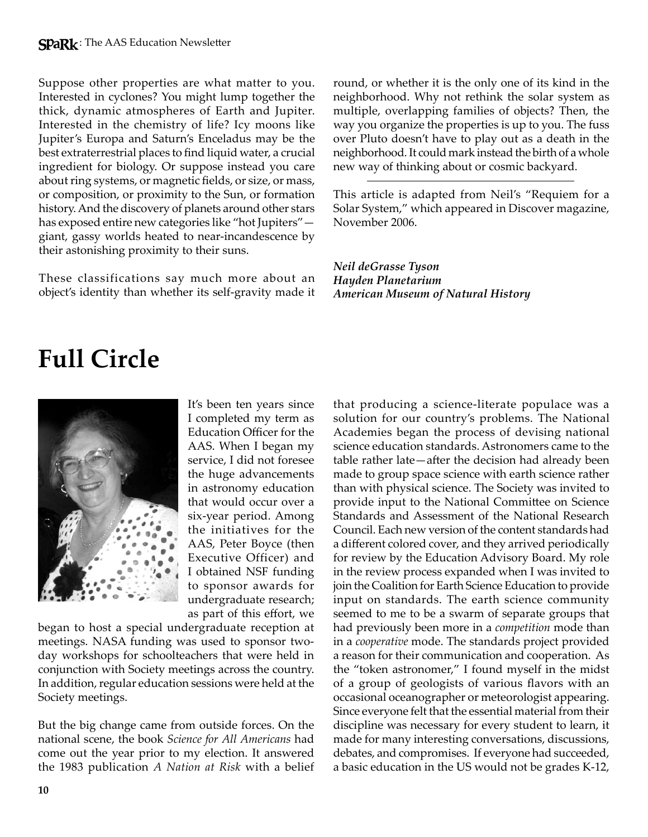Suppose other properties are what matter to you. Interested in cyclones? You might lump together the thick, dynamic atmospheres of Earth and Jupiter. Interested in the chemistry of life? Icy moons like Jupiter's Europa and Saturn's Enceladus may be the best extraterrestrial places to find liquid water, a crucial ingredient for biology. Or suppose instead you care about ring systems, or magnetic fields, or size, or mass, or composition, or proximity to the Sun, or formation history. And the discovery of planets around other stars has exposed entire new categories like "hot Jupiters" giant, gassy worlds heated to near-incandescence by their astonishing proximity to their suns.

These classifications say much more about an object's identity than whether its self-gravity made it round, or whether it is the only one of its kind in the neighborhood. Why not rethink the solar system as multiple, overlapping families of objects? Then, the way you organize the properties is up to you. The fuss over Pluto doesn't have to play out as a death in the neighborhood. It could mark instead the birth of a whole new way of thinking about or cosmic backyard.

This article is adapted from Neil's "Requiem for a Solar System," which appeared in Discover magazine, November 2006.

*Neil deGrasse Tyson Hayden Planetarium American Museum of Natural History*

# **Full Circle**



It's been ten years since I completed my term as Education Officer for the AAS. When I began my service, I did not foresee the huge advancements in astronomy education that would occur over a six-year period. Among the initiatives for the AAS, Peter Boyce (then Executive Officer) and I obtained NSF funding to sponsor awards for undergraduate research; as part of this effort, we

began to host a special undergraduate reception at meetings. NASA funding was used to sponsor twoday workshops for schoolteachers that were held in conjunction with Society meetings across the country. In addition, regular education sessions were held at the Society meetings.

But the big change came from outside forces. On the national scene, the book *Science for All Americans* had come out the year prior to my election. It answered the 1983 publication *A Nation at Risk* with a belief that producing a science-literate populace was a solution for our country's problems. The National Academies began the process of devising national science education standards. Astronomers came to the table rather late—after the decision had already been made to group space science with earth science rather than with physical science. The Society was invited to provide input to the National Committee on Science Standards and Assessment of the National Research Council. Each new version of the content standards had a different colored cover, and they arrived periodically for review by the Education Advisory Board. My role in the review process expanded when I was invited to join the Coalition for Earth Science Education to provide input on standards. The earth science community seemed to me to be a swarm of separate groups that had previously been more in a *competition* mode than in a *cooperative* mode. The standards project provided a reason for their communication and cooperation. As the "token astronomer," I found myself in the midst of a group of geologists of various flavors with an occasional oceanographer or meteorologist appearing. Since everyone felt that the essential material from their discipline was necessary for every student to learn, it made for many interesting conversations, discussions, debates, and compromises. If everyone had succeeded, a basic education in the US would not be grades K-12,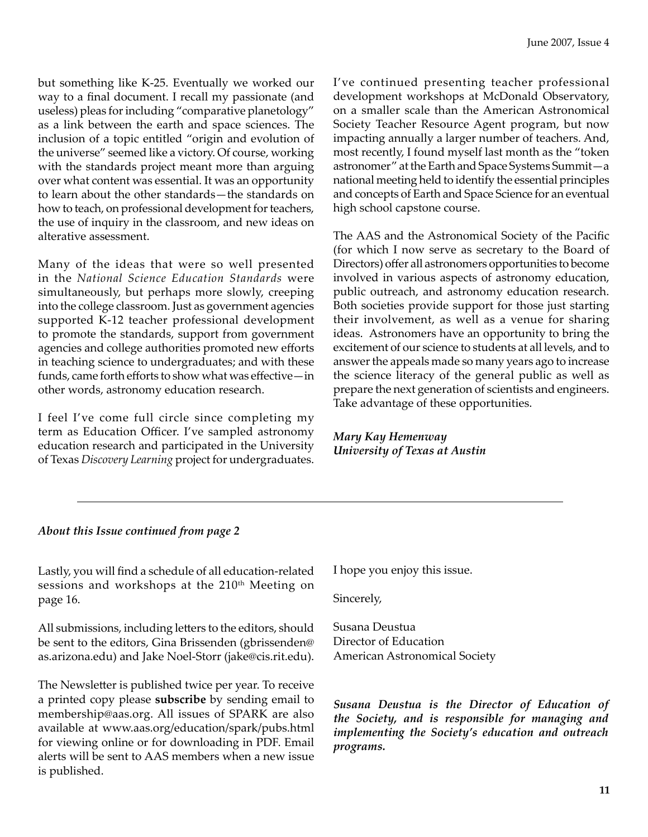but something like K-25. Eventually we worked our way to a final document. I recall my passionate (and useless) pleas for including "comparative planetology" as a link between the earth and space sciences. The inclusion of a topic entitled "origin and evolution of the universe" seemed like a victory. Of course, working with the standards project meant more than arguing over what content was essential. It was an opportunity to learn about the other standards—the standards on how to teach, on professional development for teachers, the use of inquiry in the classroom, and new ideas on alterative assessment.

Many of the ideas that were so well presented in the *National Science Education Standards* were simultaneously, but perhaps more slowly, creeping into the college classroom. Just as government agencies supported K-12 teacher professional development to promote the standards, support from government agencies and college authorities promoted new efforts in teaching science to undergraduates; and with these funds, came forth efforts to show what was effective—in other words, astronomy education research.

I feel I've come full circle since completing my term as Education Officer. I've sampled astronomy education research and participated in the University of Texas *Discovery Learning* project for undergraduates.

I've continued presenting teacher professional development workshops at McDonald Observatory, on a smaller scale than the American Astronomical Society Teacher Resource Agent program, but now impacting annually a larger number of teachers. And, most recently, I found myself last month as the "token astronomer" at the Earth and Space Systems Summit—a national meeting held to identify the essential principles and concepts of Earth and Space Science for an eventual high school capstone course.

The AAS and the Astronomical Society of the Pacific (for which I now serve as secretary to the Board of Directors) offer all astronomers opportunities to become involved in various aspects of astronomy education, public outreach, and astronomy education research. Both societies provide support for those just starting their involvement, as well as a venue for sharing ideas. Astronomers have an opportunity to bring the excitement of our science to students at all levels, and to answer the appeals made so many years ago to increase the science literacy of the general public as well as prepare the next generation of scientists and engineers. Take advantage of these opportunities.

*Mary Kay Hemenway University of Texas at Austin*

#### *About this Issue continued from page 2*

Lastly, you will find a schedule of all education-related sessions and workshops at the 210<sup>th</sup> Meeting on page 16.

All submissions, including letters to the editors, should be sent to the editors, Gina Brissenden (gbrissenden@ as.arizona.edu) and Jake Noel-Storr (jake@cis.rit.edu).

The Newsletter is published twice per year. To receive a printed copy please **subscribe** by sending email to membership@aas.org. All issues of SPARK are also available at www.aas.org/education/spark/pubs.html for viewing online or for downloading in PDF. Email alerts will be sent to AAS members when a new issue is published.

I hope you enjoy this issue.

Sincerely,

Susana Deustua Director of Education American Astronomical Society

*Susana Deustua is the Director of Education of the Society, and is responsible for managing and implementing the Society's education and outreach programs.*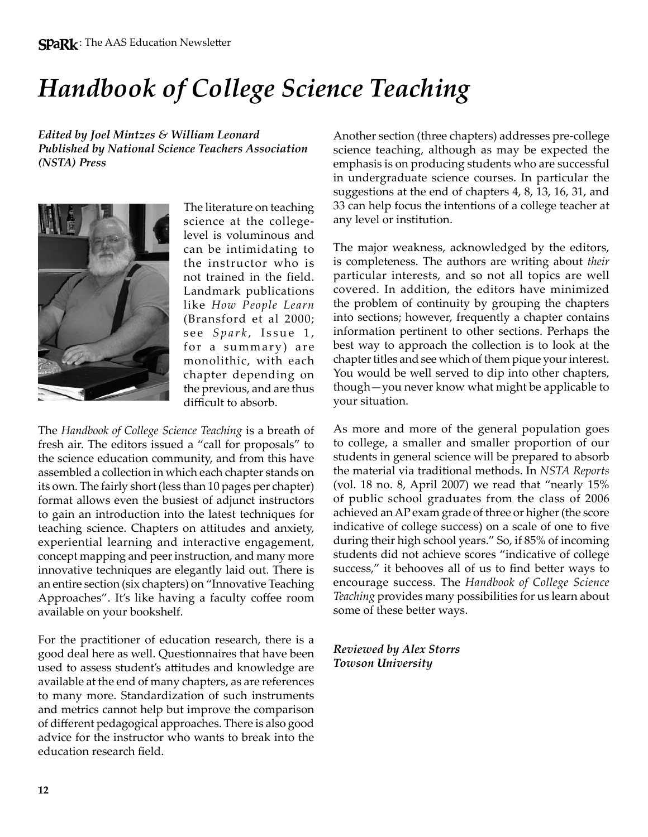# *Handbook of College Science Teaching*

*Edited by Joel Mintzes & William Leonard Published by National Science Teachers Association (NSTA) Press*



The literature on teaching science at the collegelevel is voluminous and can be intimidating to the instructor who is not trained in the field. Landmark publications like *How People Learn* (Bransford et al 2000; see *Spark*, Issue 1, for a summary) are monolithic, with each chapter depending on the previous, and are thus difficult to absorb.

The *Handbook of College Science Teaching* is a breath of fresh air. The editors issued a "call for proposals" to the science education community, and from this have assembled a collection in which each chapter stands on its own. The fairly short (less than 10 pages per chapter) format allows even the busiest of adjunct instructors to gain an introduction into the latest techniques for teaching science. Chapters on attitudes and anxiety, experiential learning and interactive engagement, concept mapping and peer instruction, and many more innovative techniques are elegantly laid out. There is an entire section (six chapters) on "Innovative Teaching Approaches". It's like having a faculty coffee room available on your bookshelf.

For the practitioner of education research, there is a good deal here as well. Questionnaires that have been used to assess student's attitudes and knowledge are available at the end of many chapters, as are references to many more. Standardization of such instruments and metrics cannot help but improve the comparison of different pedagogical approaches. There is also good advice for the instructor who wants to break into the education research field.

Another section (three chapters) addresses pre-college science teaching, although as may be expected the emphasis is on producing students who are successful in undergraduate science courses. In particular the suggestions at the end of chapters 4, 8, 13, 16, 31, and 33 can help focus the intentions of a college teacher at any level or institution.

The major weakness, acknowledged by the editors, is completeness. The authors are writing about *their* particular interests, and so not all topics are well covered. In addition, the editors have minimized the problem of continuity by grouping the chapters into sections; however, frequently a chapter contains information pertinent to other sections. Perhaps the best way to approach the collection is to look at the chapter titles and see which of them pique your interest. You would be well served to dip into other chapters, though—you never know what might be applicable to your situation.

As more and more of the general population goes to college, a smaller and smaller proportion of our students in general science will be prepared to absorb the material via traditional methods. In *NSTA Reports* (vol. 18 no. 8, April 2007) we read that "nearly 15% of public school graduates from the class of 2006 achieved an AP exam grade of three or higher (the score indicative of college success) on a scale of one to five during their high school years." So, if 85% of incoming students did not achieve scores "indicative of college success," it behooves all of us to find better ways to encourage success. The *Handbook of College Science Teaching* provides many possibilities for us learn about some of these better ways.

*Reviewed by Alex Storrs Towson University*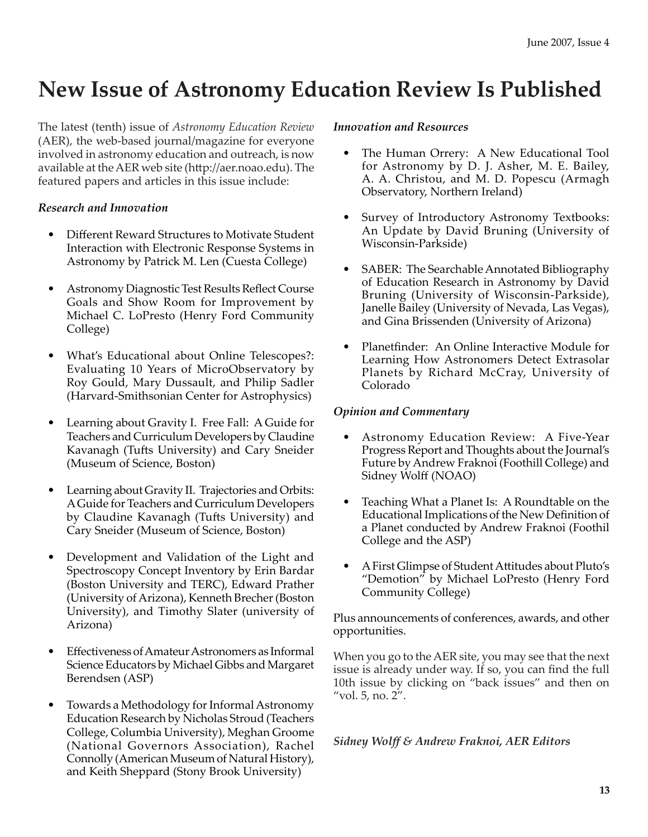### **New Issue of Astronomy Education Review Is Published**

The latest (tenth) issue of *Astronomy Education Review* (AER), the web-based journal/magazine for everyone involved in astronomy education and outreach, is now available at the AER web site (http://aer.noao.edu). The featured papers and articles in this issue include:

#### *Research and Innovation*

- Different Reward Structures to Motivate Student Interaction with Electronic Response Systems in Astronomy by Patrick M. Len (Cuesta College)
- Astronomy Diagnostic Test Results Reflect Course Goals and Show Room for Improvement by Michael C. LoPresto (Henry Ford Community College)
- What's Educational about Online Telescopes?: Evaluating 10 Years of MicroObservatory by Roy Gould, Mary Dussault, and Philip Sadler (Harvard-Smithsonian Center for Astrophysics)
- Learning about Gravity I. Free Fall: A Guide for Teachers and Curriculum Developers by Claudine Kavanagh (Tufts University) and Cary Sneider (Museum of Science, Boston)
- Learning about Gravity II. Trajectories and Orbits: A Guide for Teachers and Curriculum Developers by Claudine Kavanagh (Tufts University) and Cary Sneider (Museum of Science, Boston)
- Development and Validation of the Light and Spectroscopy Concept Inventory by Erin Bardar (Boston University and TERC), Edward Prather (University of Arizona), Kenneth Brecher (Boston University), and Timothy Slater (university of Arizona)
- Effectiveness of Amateur Astronomers as Informal Science Educators by Michael Gibbs and Margaret Berendsen (ASP)
- Towards a Methodology for Informal Astronomy Education Research by Nicholas Stroud (Teachers College, Columbia University), Meghan Groome (National Governors Association), Rachel Connolly (American Museum of Natural History), and Keith Sheppard (Stony Brook University)

#### *Innovation and Resources*

- The Human Orrery: A New Educational Tool for Astronomy by D. J. Asher, M. E. Bailey, A. A. Christou, and M. D. Popescu (Armagh Observatory, Northern Ireland)
- Survey of Introductory Astronomy Textbooks: An Update by David Bruning (University of Wisconsin-Parkside)
- SABER: The Searchable Annotated Bibliography of Education Research in Astronomy by David Bruning (University of Wisconsin-Parkside), Janelle Bailey (University of Nevada, Las Vegas), and Gina Brissenden (University of Arizona)
- Planetfinder: An Online Interactive Module for Learning How Astronomers Detect Extrasolar Planets by Richard McCray, University of Colorado

#### *Opinion and Commentary*

- Astronomy Education Review: A Five-Year Progress Report and Thoughts about the Journal's Future by Andrew Fraknoi (Foothill College) and Sidney Wolff (NOAO)
- Teaching What a Planet Is: A Roundtable on the Educational Implications of the New Definition of a Planet conducted by Andrew Fraknoi (Foothil College and the ASP)
- A First Glimpse of Student Attitudes about Pluto's "Demotion" by Michael LoPresto (Henry Ford Community College)

Plus announcements of conferences, awards, and other opportunities.

When you go to the AER site, you may see that the next issue is already under way. If so, you can find the full 10th issue by clicking on "back issues" and then on "vol. 5, no. 2".

*Sidney Wolff & Andrew Fraknoi, AER Editors*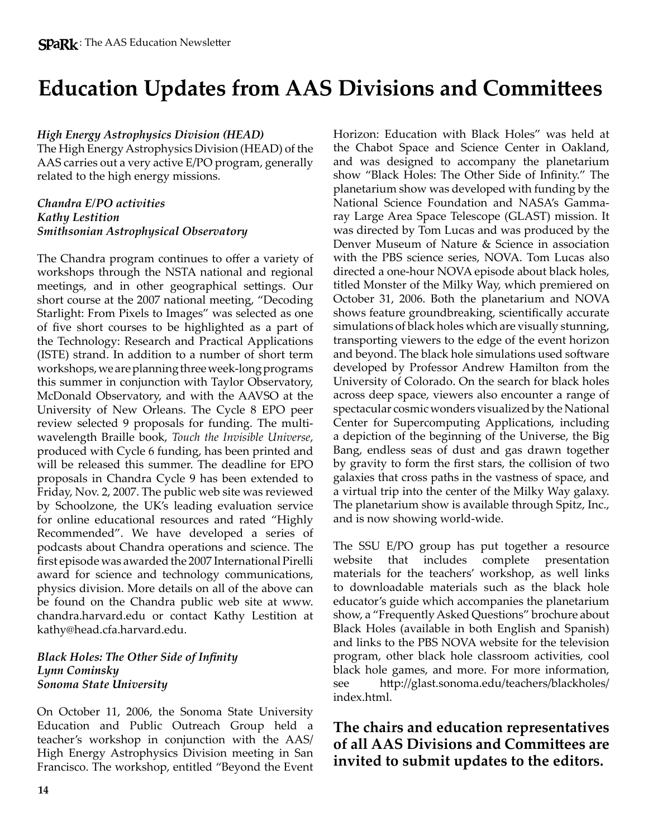### **Education Updates from AAS Divisions and Committees**

#### *High Energy Astrophysics Division (HEAD)*

The High Energy Astrophysics Division (HEAD) of the AAS carries out a very active E/PO program, generally related to the high energy missions.

#### *Chandra E/PO activities Kathy Lestition Smithsonian Astrophysical Observatory*

The Chandra program continues to offer a variety of workshops through the NSTA national and regional meetings, and in other geographical settings. Our short course at the 2007 national meeting, "Decoding Starlight: From Pixels to Images" was selected as one of five short courses to be highlighted as a part of the Technology: Research and Practical Applications (ISTE) strand. In addition to a number of short term workshops, we are planning three week-long programs this summer in conjunction with Taylor Observatory, McDonald Observatory, and with the AAVSO at the University of New Orleans. The Cycle 8 EPO peer review selected 9 proposals for funding. The multiwavelength Braille book, *Touch the Invisible Universe*, produced with Cycle 6 funding, has been printed and will be released this summer. The deadline for EPO proposals in Chandra Cycle 9 has been extended to Friday, Nov. 2, 2007. The public web site was reviewed by Schoolzone, the UK's leading evaluation service for online educational resources and rated "Highly Recommended". We have developed a series of podcasts about Chandra operations and science. The first episode was awarded the 2007 International Pirelli award for science and technology communications, physics division. More details on all of the above can be found on the Chandra public web site at www. chandra.harvard.edu or contact Kathy Lestition at kathy@head.cfa.harvard.edu.

#### *Black Holes: The Other Side of Infinity Lynn Cominsky Sonoma State University*

On October 11, 2006, the Sonoma State University Education and Public Outreach Group held a teacher's workshop in conjunction with the AAS/ High Energy Astrophysics Division meeting in San Francisco. The workshop, entitled "Beyond the Event Horizon: Education with Black Holes" was held at the Chabot Space and Science Center in Oakland, and was designed to accompany the planetarium show "Black Holes: The Other Side of Infinity." The planetarium show was developed with funding by the National Science Foundation and NASA's Gammaray Large Area Space Telescope (GLAST) mission. It was directed by Tom Lucas and was produced by the Denver Museum of Nature & Science in association with the PBS science series, NOVA. Tom Lucas also directed a one-hour NOVA episode about black holes, titled Monster of the Milky Way, which premiered on October 31, 2006. Both the planetarium and NOVA shows feature groundbreaking, scientifically accurate simulations of black holes which are visually stunning, transporting viewers to the edge of the event horizon and beyond. The black hole simulations used software developed by Professor Andrew Hamilton from the University of Colorado. On the search for black holes across deep space, viewers also encounter a range of spectacular cosmic wonders visualized by the National Center for Supercomputing Applications, including a depiction of the beginning of the Universe, the Big Bang, endless seas of dust and gas drawn together by gravity to form the first stars, the collision of two galaxies that cross paths in the vastness of space, and a virtual trip into the center of the Milky Way galaxy. The planetarium show is available through Spitz, Inc., and is now showing world-wide.

The SSU E/PO group has put together a resource website that includes complete presentation materials for the teachers' workshop, as well links to downloadable materials such as the black hole educator's guide which accompanies the planetarium show, a "Frequently Asked Questions" brochure about Black Holes (available in both English and Spanish) and links to the PBS NOVA website for the television program, other black hole classroom activities, cool black hole games, and more. For more information, see http://glast.sonoma.edu/teachers/blackholes/ index.html.

### **The chairs and education representatives of all AAS Divisions and Committees are invited to submit updates to the editors.**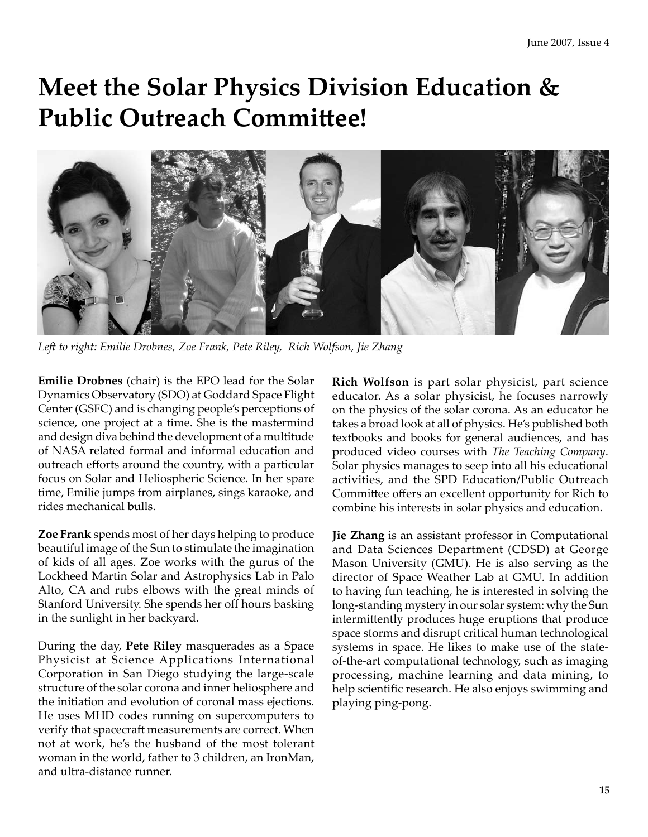# **Meet the Solar Physics Division Education & Public Outreach Committee!**



*Left to right: Emilie Drobnes, Zoe Frank, Pete Riley, Rich Wolfson, Jie Zhang*

**Emilie Drobnes** (chair) is the EPO lead for the Solar Dynamics Observatory (SDO) at Goddard Space Flight Center (GSFC) and is changing people's perceptions of science, one project at a time. She is the mastermind and design diva behind the development of a multitude of NASA related formal and informal education and outreach efforts around the country, with a particular focus on Solar and Heliospheric Science. In her spare time, Emilie jumps from airplanes, sings karaoke, and rides mechanical bulls.

**Zoe Frank** spends most of her days helping to produce beautiful image of the Sun to stimulate the imagination of kids of all ages. Zoe works with the gurus of the Lockheed Martin Solar and Astrophysics Lab in Palo Alto, CA and rubs elbows with the great minds of Stanford University. She spends her off hours basking in the sunlight in her backyard.

During the day, **Pete Riley** masquerades as a Space Physicist at Science Applications International Corporation in San Diego studying the large-scale structure of the solar corona and inner heliosphere and the initiation and evolution of coronal mass ejections. He uses MHD codes running on supercomputers to verify that spacecraft measurements are correct. When not at work, he's the husband of the most tolerant woman in the world, father to 3 children, an IronMan, and ultra-distance runner.

**Rich Wolfson** is part solar physicist, part science educator. As a solar physicist, he focuses narrowly on the physics of the solar corona. As an educator he takes a broad look at all of physics. He's published both textbooks and books for general audiences, and has produced video courses with *The Teaching Company*. Solar physics manages to seep into all his educational activities, and the SPD Education/Public Outreach Committee offers an excellent opportunity for Rich to combine his interests in solar physics and education.

**Jie Zhang** is an assistant professor in Computational and Data Sciences Department (CDSD) at George Mason University (GMU). He is also serving as the director of Space Weather Lab at GMU. In addition to having fun teaching, he is interested in solving the long-standing mystery in our solar system: why the Sun intermittently produces huge eruptions that produce space storms and disrupt critical human technological systems in space. He likes to make use of the stateof-the-art computational technology, such as imaging processing, machine learning and data mining, to help scientific research. He also enjoys swimming and playing ping-pong.